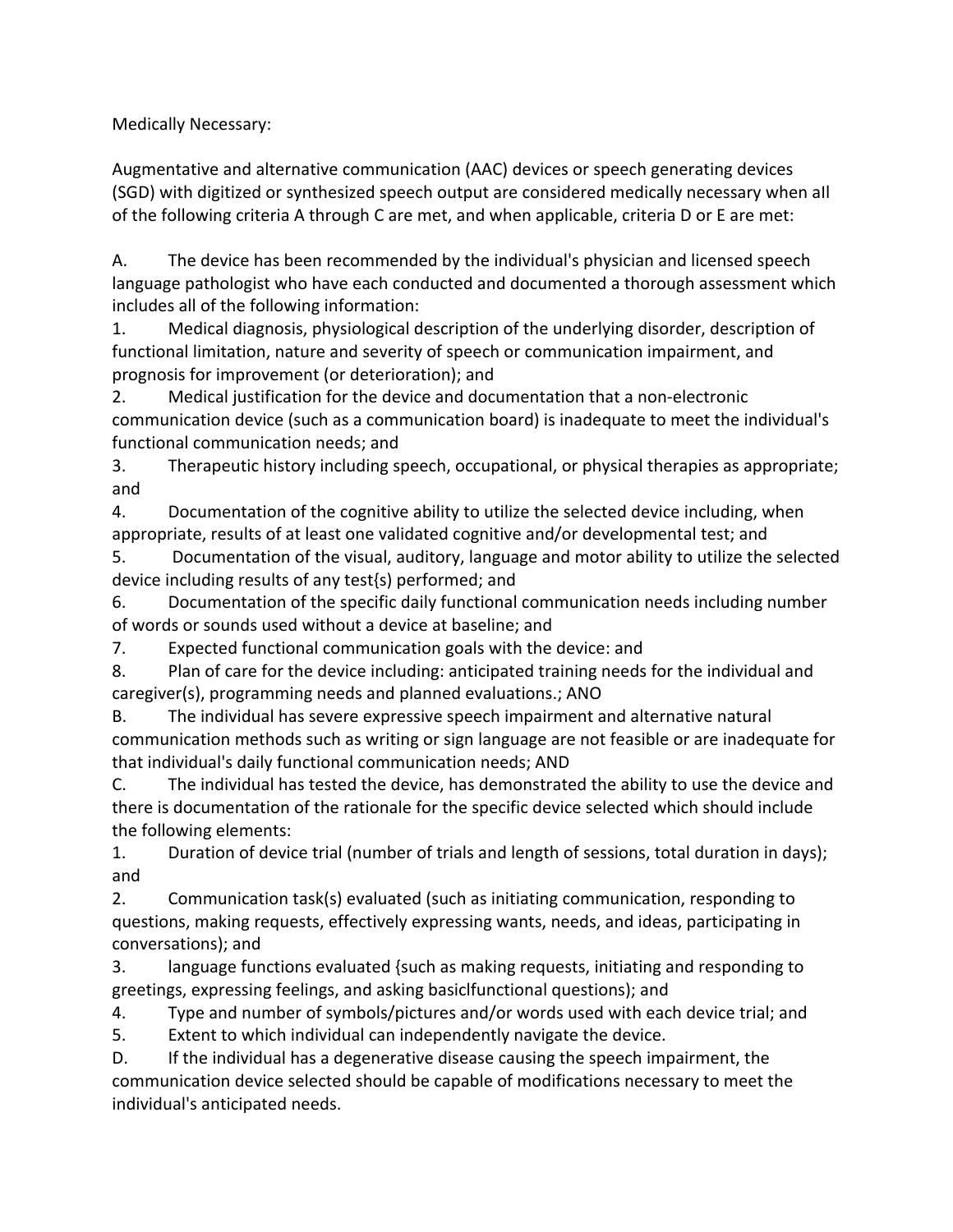Medically Necessary:

Augmentative and alternative communication (AAC) devices or speech generating devices (SGD) with digitized or synthesized speech output are considered medically necessary when aIl of the following criteria A through C are met, and when applicable, criteria D or E are met:

A. The device has been recommended by the individual's physician and licensed speech language pathologist who have each conducted and documented a thorough assessment which includes all of the following information:

1. Medical diagnosis, physiological description of the underlying disorder, description of functional limitation, nature and severity of speech or communication impairment, and prognosis for improvement (or deterioration); and

2. Medical justification for the device and documentation that a non-electronic communication device (such as a communication board) is inadequate to meet the individual's functional communication needs; and

3. Therapeutic history including speech, occupational, or physical therapies as appropriate; and

4. Documentation of the cognitive ability to utilize the selected device including, when appropriate, results of at least one validated cognitive and/or developmental test; and

5. Documentation of the visual, auditory, language and motor ability to utilize the selected device including results of any test{s) performed; and

6. Documentation of the specific daily functional communication needs including number of words or sounds used without a device at baseline; and

7. Expected functional communication goals with the device: and

8. Plan of care for the device including: anticipated training needs for the individual and caregiver(s), programming needs and planned evaluations.; ANO

B. The individual has severe expressive speech impairment and alternative natural communication methods such as writing or sign language are not feasible or are inadequate for that individual's daily functional communication needs; AND

C. The individual has tested the device, has demonstrated the ability to use the device and there is documentation of the rationale for the specific device selected which should include the following elements:

1. Duration of device trial (number of trials and length of sessions, total duration in days); and

2. Communication task(s) evaluated (such as initiating communication, responding to questions, making requests, effectively expressing wants, needs, and ideas, participating in conversations); and

3. language functions evaluated {such as making requests, initiating and responding to greetings, expressing feelings, and asking basiclfunctional questions); and

4. Type and number of symbols/pictures and/or words used with each device trial; and

5. Extent to which individual can independently navigate the device.

D. If the individual has a degenerative disease causing the speech impairment, the communication device selected should be capable of modifications necessary to meet the individual's anticipated needs.